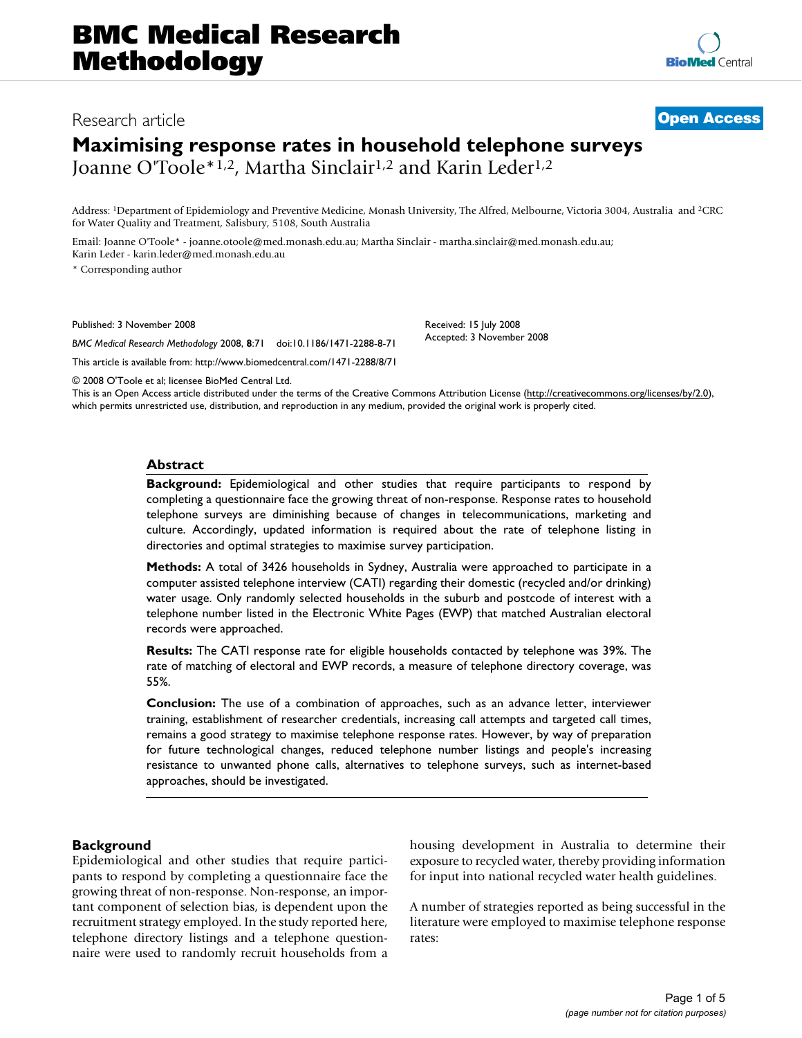## Research article **[Open Access](http://www.biomedcentral.com/info/about/charter/)**

# **Maximising response rates in household telephone surveys** Joanne O'Toole\*<sup>1,2</sup>, Martha Sinclair<sup>1,2</sup> and Karin Leder<sup>1,2</sup>

Address: 1Department of Epidemiology and Preventive Medicine, Monash University, The Alfred, Melbourne, Victoria 3004, Australia and 2CRC for Water Quality and Treatment, Salisbury, 5108, South Australia

Email: Joanne O'Toole\* - joanne.otoole@med.monash.edu.au; Martha Sinclair - martha.sinclair@med.monash.edu.au; Karin Leder - karin.leder@med.monash.edu.au

\* Corresponding author

Published: 3 November 2008

*BMC Medical Research Methodology* 2008, **8**:71 doi:10.1186/1471-2288-8-71

[This article is available from: http://www.biomedcentral.com/1471-2288/8/71](http://www.biomedcentral.com/1471-2288/8/71)

© 2008 O'Toole et al; licensee BioMed Central Ltd.

This is an Open Access article distributed under the terms of the Creative Commons Attribution License [\(http://creativecommons.org/licenses/by/2.0\)](http://creativecommons.org/licenses/by/2.0), which permits unrestricted use, distribution, and reproduction in any medium, provided the original work is properly cited.

#### **Abstract**

**Background:** Epidemiological and other studies that require participants to respond by completing a questionnaire face the growing threat of non-response. Response rates to household telephone surveys are diminishing because of changes in telecommunications, marketing and culture. Accordingly, updated information is required about the rate of telephone listing in directories and optimal strategies to maximise survey participation.

**Methods:** A total of 3426 households in Sydney, Australia were approached to participate in a computer assisted telephone interview (CATI) regarding their domestic (recycled and/or drinking) water usage. Only randomly selected households in the suburb and postcode of interest with a telephone number listed in the Electronic White Pages (EWP) that matched Australian electoral records were approached.

**Results:** The CATI response rate for eligible households contacted by telephone was 39%. The rate of matching of electoral and EWP records, a measure of telephone directory coverage, was 55%.

**Conclusion:** The use of a combination of approaches, such as an advance letter, interviewer training, establishment of researcher credentials, increasing call attempts and targeted call times, remains a good strategy to maximise telephone response rates. However, by way of preparation for future technological changes, reduced telephone number listings and people's increasing resistance to unwanted phone calls, alternatives to telephone surveys, such as internet-based approaches, should be investigated.

## **Background**

Epidemiological and other studies that require participants to respond by completing a questionnaire face the growing threat of non-response. Non-response, an important component of selection bias, is dependent upon the recruitment strategy employed. In the study reported here, telephone directory listings and a telephone questionnaire were used to randomly recruit households from a housing development in Australia to determine their exposure to recycled water, thereby providing information for input into national recycled water health guidelines.

A number of strategies reported as being successful in the literature were employed to maximise telephone response rates:

> Page 1 of 5 *(page number not for citation purposes)*

Accepted: 3 November 2008

Received: 15 July 2008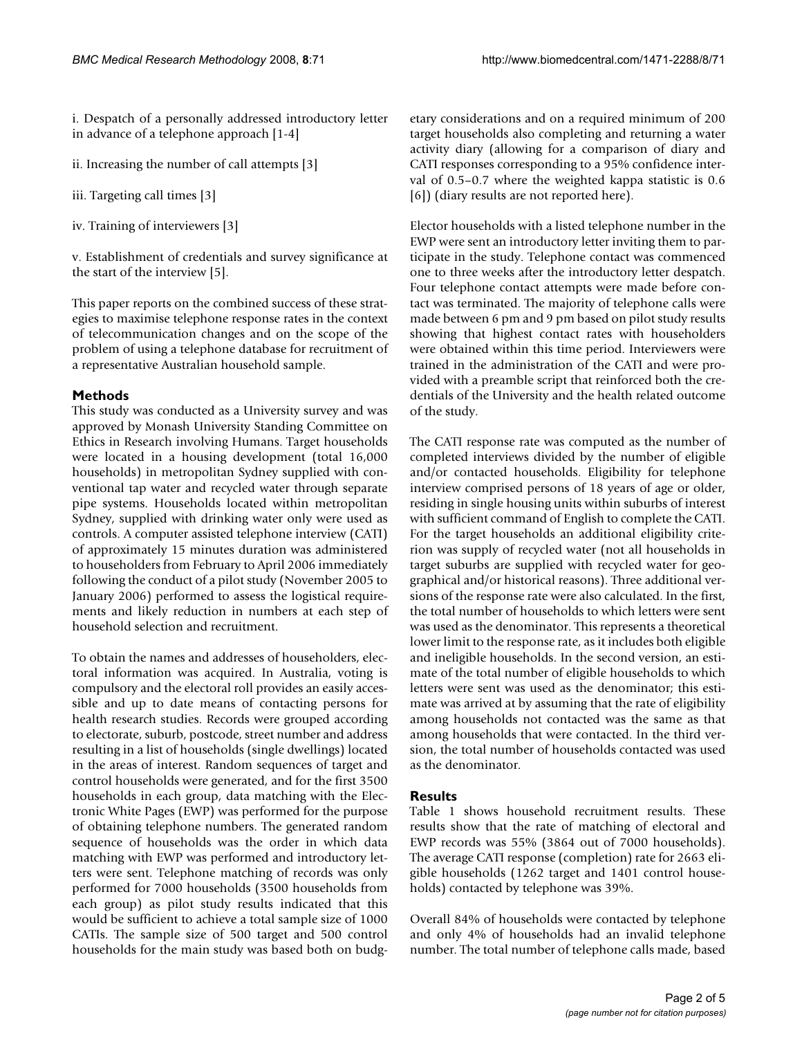i. Despatch of a personally addressed introductory letter in advance of a telephone approach [1-4]

ii. Increasing the number of call attempts [3]

iii. Targeting call times [3]

iv. Training of interviewers [3]

v. Establishment of credentials and survey significance at the start of the interview [5].

This paper reports on the combined success of these strategies to maximise telephone response rates in the context of telecommunication changes and on the scope of the problem of using a telephone database for recruitment of a representative Australian household sample.

## **Methods**

This study was conducted as a University survey and was approved by Monash University Standing Committee on Ethics in Research involving Humans. Target households were located in a housing development (total 16,000 households) in metropolitan Sydney supplied with conventional tap water and recycled water through separate pipe systems. Households located within metropolitan Sydney, supplied with drinking water only were used as controls. A computer assisted telephone interview (CATI) of approximately 15 minutes duration was administered to householders from February to April 2006 immediately following the conduct of a pilot study (November 2005 to January 2006) performed to assess the logistical requirements and likely reduction in numbers at each step of household selection and recruitment.

To obtain the names and addresses of householders, electoral information was acquired. In Australia, voting is compulsory and the electoral roll provides an easily accessible and up to date means of contacting persons for health research studies. Records were grouped according to electorate, suburb, postcode, street number and address resulting in a list of households (single dwellings) located in the areas of interest. Random sequences of target and control households were generated, and for the first 3500 households in each group, data matching with the Electronic White Pages (EWP) was performed for the purpose of obtaining telephone numbers. The generated random sequence of households was the order in which data matching with EWP was performed and introductory letters were sent. Telephone matching of records was only performed for 7000 households (3500 households from each group) as pilot study results indicated that this would be sufficient to achieve a total sample size of 1000 CATIs. The sample size of 500 target and 500 control households for the main study was based both on budgetary considerations and on a required minimum of 200 target households also completing and returning a water activity diary (allowing for a comparison of diary and CATI responses corresponding to a 95% confidence interval of 0.5–0.7 where the weighted kappa statistic is 0.6 [6]) (diary results are not reported here).

Elector households with a listed telephone number in the EWP were sent an introductory letter inviting them to participate in the study. Telephone contact was commenced one to three weeks after the introductory letter despatch. Four telephone contact attempts were made before contact was terminated. The majority of telephone calls were made between 6 pm and 9 pm based on pilot study results showing that highest contact rates with householders were obtained within this time period. Interviewers were trained in the administration of the CATI and were provided with a preamble script that reinforced both the credentials of the University and the health related outcome of the study.

The CATI response rate was computed as the number of completed interviews divided by the number of eligible and/or contacted households. Eligibility for telephone interview comprised persons of 18 years of age or older, residing in single housing units within suburbs of interest with sufficient command of English to complete the CATI. For the target households an additional eligibility criterion was supply of recycled water (not all households in target suburbs are supplied with recycled water for geographical and/or historical reasons). Three additional versions of the response rate were also calculated. In the first, the total number of households to which letters were sent was used as the denominator. This represents a theoretical lower limit to the response rate, as it includes both eligible and ineligible households. In the second version, an estimate of the total number of eligible households to which letters were sent was used as the denominator; this estimate was arrived at by assuming that the rate of eligibility among households not contacted was the same as that among households that were contacted. In the third version, the total number of households contacted was used as the denominator.

## **Results**

Table 1 shows household recruitment results. These results show that the rate of matching of electoral and EWP records was 55% (3864 out of 7000 households). The average CATI response (completion) rate for 2663 eligible households (1262 target and 1401 control households) contacted by telephone was 39%.

Overall 84% of households were contacted by telephone and only 4% of households had an invalid telephone number. The total number of telephone calls made, based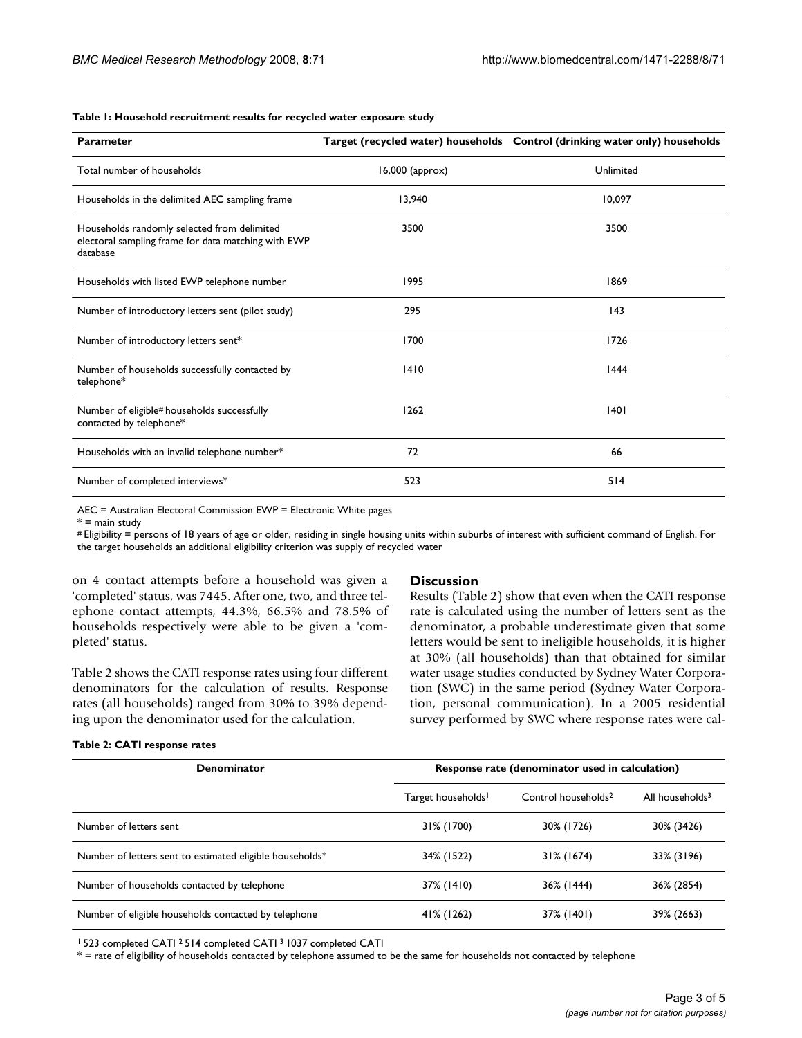| Parameter                                                                                                      |                   | Target (recycled water) households  Control (drinking water only) households |
|----------------------------------------------------------------------------------------------------------------|-------------------|------------------------------------------------------------------------------|
| Total number of households                                                                                     | $16,000$ (approx) | Unlimited                                                                    |
| Households in the delimited AEC sampling frame                                                                 | 13,940            | 10.097                                                                       |
| Households randomly selected from delimited<br>electoral sampling frame for data matching with EWP<br>database | 3500              | 3500                                                                         |
| Households with listed EWP telephone number                                                                    | 1995              | 1869                                                                         |
| Number of introductory letters sent (pilot study)                                                              | 295               | 143                                                                          |
| Number of introductory letters sent*                                                                           | 1700              | 1726                                                                         |
| Number of households successfully contacted by<br>telephone*                                                   | 1410              | 1444                                                                         |
| Number of eligible# households successfully<br>contacted by telephone*                                         | 1262              | 40                                                                           |
| Households with an invalid telephone number*                                                                   | 72                | 66                                                                           |
| Number of completed interviews*                                                                                | 523               | 514                                                                          |

#### **Table 1: Household recruitment results for recycled water exposure study**

AEC = Australian Electoral Commission EWP = Electronic White pages

 $* =$  main study

# Eligibility = persons of 18 years of age or older, residing in single housing units within suburbs of interest with sufficient command of English. For the target households an additional eligibility criterion was supply of recycled water

on 4 contact attempts before a household was given a 'completed' status, was 7445. After one, two, and three telephone contact attempts, 44.3%, 66.5% and 78.5% of households respectively were able to be given a 'completed' status.

Table 2 shows the CATI response rates using four different denominators for the calculation of results. Response rates (all households) ranged from 30% to 39% depending upon the denominator used for the calculation.

#### **Discussion**

Results (Table 2) show that even when the CATI response rate is calculated using the number of letters sent as the denominator, a probable underestimate given that some letters would be sent to ineligible households, it is higher at 30% (all households) than that obtained for similar water usage studies conducted by Sydney Water Corporation (SWC) in the same period (Sydney Water Corporation, personal communication). In a 2005 residential survey performed by SWC where response rates were cal-

#### **Table 2: CATI response rates**

| <b>Denominator</b>                                       | Response rate (denominator used in calculation) |                                 |                             |
|----------------------------------------------------------|-------------------------------------------------|---------------------------------|-----------------------------|
|                                                          | Target households <sup>1</sup>                  | Control households <sup>2</sup> | All households <sup>3</sup> |
| Number of letters sent                                   | 31% (1700)                                      | 30% (1726)                      | 30% (3426)                  |
| Number of letters sent to estimated eligible households* | 34% (1522)                                      | $31\%$ (1674)                   | 33% (3196)                  |
| Number of households contacted by telephone              | 37% (1410)                                      | 36% (1444)                      | 36% (2854)                  |
| Number of eligible households contacted by telephone     | 41% (1262)                                      | 37% (1401)                      | 39% (2663)                  |

1 523 completed CATI 2 514 completed CATI 3 1037 completed CATI

\* = rate of eligibility of households contacted by telephone assumed to be the same for households not contacted by telephone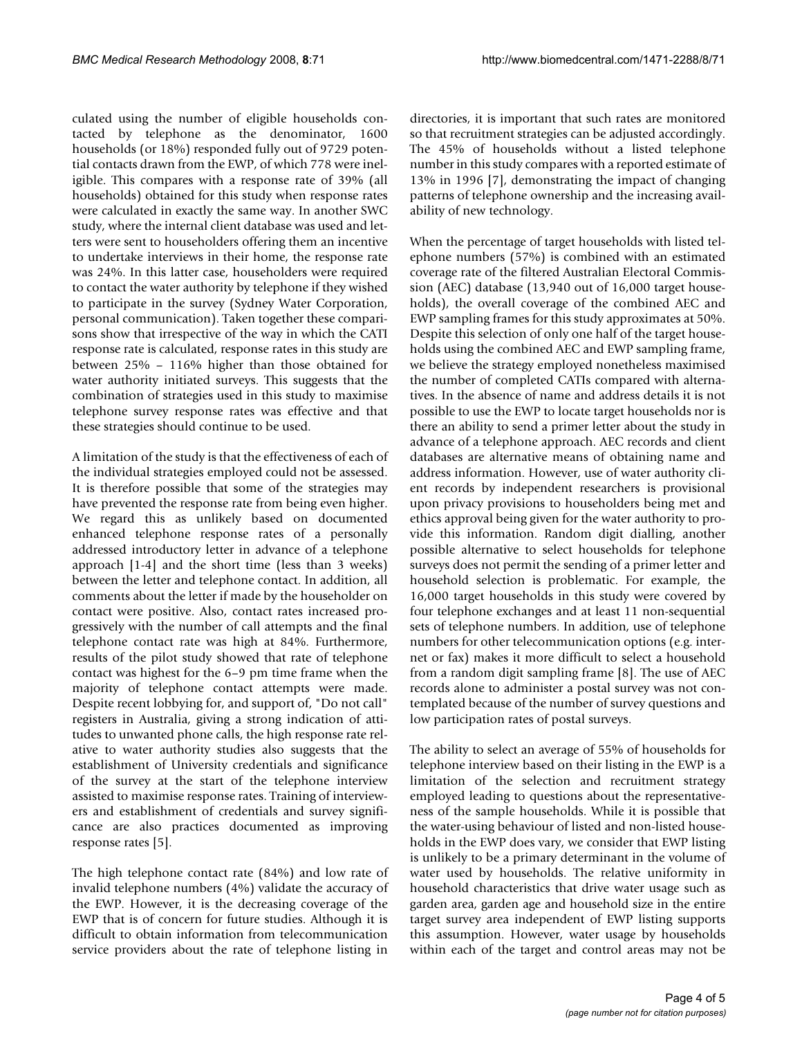culated using the number of eligible households contacted by telephone as the denominator, 1600 households (or 18%) responded fully out of 9729 potential contacts drawn from the EWP, of which 778 were ineligible. This compares with a response rate of 39% (all households) obtained for this study when response rates were calculated in exactly the same way. In another SWC study, where the internal client database was used and letters were sent to householders offering them an incentive to undertake interviews in their home, the response rate was 24%. In this latter case, householders were required to contact the water authority by telephone if they wished to participate in the survey (Sydney Water Corporation, personal communication). Taken together these comparisons show that irrespective of the way in which the CATI response rate is calculated, response rates in this study are between 25% – 116% higher than those obtained for water authority initiated surveys. This suggests that the combination of strategies used in this study to maximise telephone survey response rates was effective and that these strategies should continue to be used.

A limitation of the study is that the effectiveness of each of the individual strategies employed could not be assessed. It is therefore possible that some of the strategies may have prevented the response rate from being even higher. We regard this as unlikely based on documented enhanced telephone response rates of a personally addressed introductory letter in advance of a telephone approach [1-4] and the short time (less than 3 weeks) between the letter and telephone contact. In addition, all comments about the letter if made by the householder on contact were positive. Also, contact rates increased progressively with the number of call attempts and the final telephone contact rate was high at 84%. Furthermore, results of the pilot study showed that rate of telephone contact was highest for the 6–9 pm time frame when the majority of telephone contact attempts were made. Despite recent lobbying for, and support of, "Do not call" registers in Australia, giving a strong indication of attitudes to unwanted phone calls, the high response rate relative to water authority studies also suggests that the establishment of University credentials and significance of the survey at the start of the telephone interview assisted to maximise response rates. Training of interviewers and establishment of credentials and survey significance are also practices documented as improving response rates [5].

The high telephone contact rate (84%) and low rate of invalid telephone numbers (4%) validate the accuracy of the EWP. However, it is the decreasing coverage of the EWP that is of concern for future studies. Although it is difficult to obtain information from telecommunication service providers about the rate of telephone listing in

directories, it is important that such rates are monitored so that recruitment strategies can be adjusted accordingly. The 45% of households without a listed telephone number in this study compares with a reported estimate of 13% in 1996 [7], demonstrating the impact of changing patterns of telephone ownership and the increasing availability of new technology.

When the percentage of target households with listed telephone numbers (57%) is combined with an estimated coverage rate of the filtered Australian Electoral Commission (AEC) database (13,940 out of 16,000 target households), the overall coverage of the combined AEC and EWP sampling frames for this study approximates at 50%. Despite this selection of only one half of the target households using the combined AEC and EWP sampling frame, we believe the strategy employed nonetheless maximised the number of completed CATIs compared with alternatives. In the absence of name and address details it is not possible to use the EWP to locate target households nor is there an ability to send a primer letter about the study in advance of a telephone approach. AEC records and client databases are alternative means of obtaining name and address information. However, use of water authority client records by independent researchers is provisional upon privacy provisions to householders being met and ethics approval being given for the water authority to provide this information. Random digit dialling, another possible alternative to select households for telephone surveys does not permit the sending of a primer letter and household selection is problematic. For example, the 16,000 target households in this study were covered by four telephone exchanges and at least 11 non-sequential sets of telephone numbers. In addition, use of telephone numbers for other telecommunication options (e.g. internet or fax) makes it more difficult to select a household from a random digit sampling frame [8]. The use of AEC records alone to administer a postal survey was not contemplated because of the number of survey questions and low participation rates of postal surveys.

The ability to select an average of 55% of households for telephone interview based on their listing in the EWP is a limitation of the selection and recruitment strategy employed leading to questions about the representativeness of the sample households. While it is possible that the water-using behaviour of listed and non-listed households in the EWP does vary, we consider that EWP listing is unlikely to be a primary determinant in the volume of water used by households. The relative uniformity in household characteristics that drive water usage such as garden area, garden age and household size in the entire target survey area independent of EWP listing supports this assumption. However, water usage by households within each of the target and control areas may not be